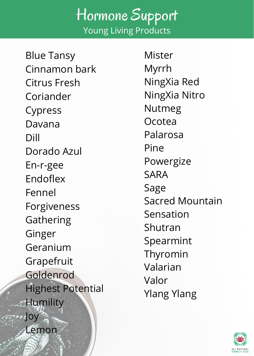## Hormone Support Young Living Products

Blue Tansy Cinnamon bark Citrus Fresh Coriander Cypress Davana Dill Dorado Azul En-r-gee Endoflex Fennel Forgiveness Gathering Ginger Geranium Grapefruit Goldenrod Highest Potential **Humility** Joy Lemon

Mister Myrrh NingXia Red NingXia Nitro Nutmeg Ocotea Palarosa Pine Powergize SARA Sage Sacred Mountain Sensation Shutran Spearmint Thyromin Valarian Valor Ylang Ylang

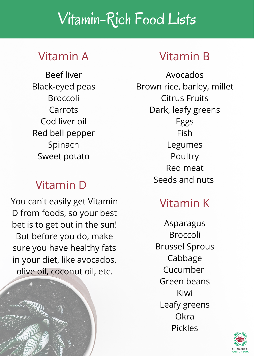# Vitamin-Rich Food Lists

## Vitamin A Vitamin B

Beef liver Black-eyed peas Broccoli **Carrots** Cod liver oil Red bell pepper Spinach Sweet potato

### Vitamin D

You can't easily get Vitamin D from foods, so your best bet is to get out in the sun! But before you do, make sure you have healthy fats in your diet, like avocados, olive oil, coconut oil, etc.

Avocados Brown rice, barley, millet Citrus Fruits Dark, leafy greens Eggs Fish Legumes Poultry Red meat Seeds and nuts

## Vitamin K

Asparagus Broccoli Brussel Sprous Cabbage Cucumber Green beans Kiwi Leafy greens **Okra** Pickles

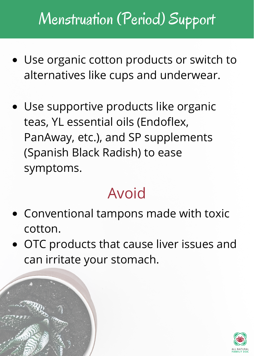# Menstruation (Period) Support

- Use organic cotton products or switch to alternatives like cups and underwear.
- Use supportive products like organic teas, YL essential oils (Endoflex, PanAway, etc.), and SP supplements (Spanish Black Radish) to ease symptoms.

## Avoid

- Conventional tampons made with toxic cotton.
- OTC products that cause liver issues and can irritate your stomach.